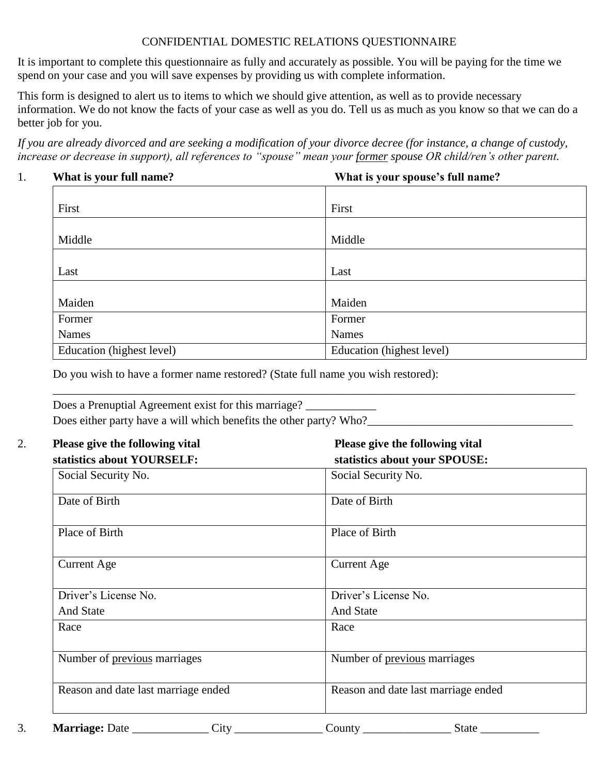### CONFIDENTIAL DOMESTIC RELATIONS QUESTIONNAIRE

It is important to complete this questionnaire as fully and accurately as possible. You will be paying for the time we spend on your case and you will save expenses by providing us with complete information.

This form is designed to alert us to items to which we should give attention, as well as to provide necessary information. We do not know the facts of your case as well as you do. Tell us as much as you know so that we can do a better job for you.

*If you are already divorced and are seeking a modification of your divorce decree (for instance, a change of custody, increase or decrease in support), all references to "spouse" mean your former spouse OR child/ren's other parent.* 

#### 1. **What is your full name? What is your spouse's full name?**

| First                     | First                     |
|---------------------------|---------------------------|
|                           |                           |
| Middle                    | Middle                    |
|                           |                           |
| Last                      | Last                      |
|                           |                           |
| Maiden                    | Maiden                    |
| Former                    | Former                    |
| Names                     | <b>Names</b>              |
| Education (highest level) | Education (highest level) |

Do you wish to have a former name restored? (State full name you wish restored):

| Does a Prenuptial Agreement exist for this marriage?               |  |
|--------------------------------------------------------------------|--|
| Does either party have a will which benefits the other party? Who? |  |

| Please give the following vital<br>statistics about your SPOUSE: |
|------------------------------------------------------------------|
| Social Security No.                                              |
| Date of Birth                                                    |
| Place of Birth                                                   |
| <b>Current Age</b>                                               |
| Driver's License No.                                             |
| And State                                                        |
| Race                                                             |
| Number of previous marriages                                     |
| Reason and date last marriage ended                              |
|                                                                  |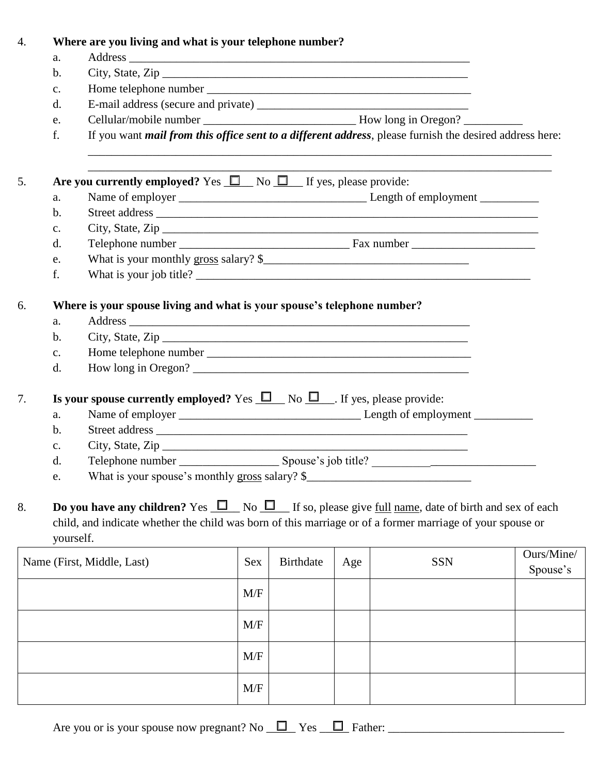| $\overline{4}$ . |                | Where are you living and what is your telephone number?                                                                                                                                                                                             |            |                  |     |            |                        |
|------------------|----------------|-----------------------------------------------------------------------------------------------------------------------------------------------------------------------------------------------------------------------------------------------------|------------|------------------|-----|------------|------------------------|
|                  | a.             |                                                                                                                                                                                                                                                     |            |                  |     |            |                        |
|                  | b.             | City, State, $\mathsf{Zip}\_$                                                                                                                                                                                                                       |            |                  |     |            |                        |
|                  | $C_{\bullet}$  |                                                                                                                                                                                                                                                     |            |                  |     |            |                        |
|                  | d.             |                                                                                                                                                                                                                                                     |            |                  |     |            |                        |
|                  | e.             |                                                                                                                                                                                                                                                     |            |                  |     |            |                        |
|                  | f.             | If you want <i>mail from this office sent to a different address</i> , please furnish the desired address here:                                                                                                                                     |            |                  |     |            |                        |
| 5.               |                | Are you currently employed? Yes $\Box$ No $\Box$ If yes, please provide:                                                                                                                                                                            |            |                  |     |            |                        |
|                  | a.             |                                                                                                                                                                                                                                                     |            |                  |     |            |                        |
|                  | $b$ .          |                                                                                                                                                                                                                                                     |            |                  |     |            |                        |
|                  | $C_{\bullet}$  |                                                                                                                                                                                                                                                     |            |                  |     |            |                        |
|                  | $\mathbf{d}$ . |                                                                                                                                                                                                                                                     |            |                  |     |            |                        |
|                  | e.             | What is your monthly gross salary? \$                                                                                                                                                                                                               |            |                  |     |            |                        |
|                  | f.             |                                                                                                                                                                                                                                                     |            |                  |     |            |                        |
| 6.               |                | Where is your spouse living and what is your spouse's telephone number?                                                                                                                                                                             |            |                  |     |            |                        |
|                  | a.             |                                                                                                                                                                                                                                                     |            |                  |     |            |                        |
|                  | $\mathbf b$ .  | City, State, $\mathsf{Zip}\_$                                                                                                                                                                                                                       |            |                  |     |            |                        |
|                  | $\mathbf{c}$ . |                                                                                                                                                                                                                                                     |            |                  |     |            |                        |
|                  | d.             | How long in Oregon?                                                                                                                                                                                                                                 |            |                  |     |            |                        |
|                  |                |                                                                                                                                                                                                                                                     |            |                  |     |            |                        |
| 7.               |                | <b>Is your spouse currently employed?</b> Yes $\Box$ No $\Box$ . If yes, please provide:                                                                                                                                                            |            |                  |     |            |                        |
|                  | a.             |                                                                                                                                                                                                                                                     |            |                  |     |            |                        |
|                  | $\mathbf b$ .  |                                                                                                                                                                                                                                                     |            |                  |     |            |                        |
|                  | c.             |                                                                                                                                                                                                                                                     |            |                  |     |            |                        |
|                  | d.             |                                                                                                                                                                                                                                                     |            |                  |     |            |                        |
|                  | e.             | What is your spouse's monthly gross salary? \$                                                                                                                                                                                                      |            |                  |     |            |                        |
| 8.               |                | <b>Do you have any children?</b> Yes $\Box$ No $\Box$ If so, please give <u>full name</u> , date of birth and sex of each<br>child, and indicate whether the child was born of this marriage or of a former marriage of your spouse or<br>yourself. |            |                  |     |            |                        |
|                  |                | Name (First, Middle, Last)                                                                                                                                                                                                                          | <b>Sex</b> | <b>Birthdate</b> | Age | <b>SSN</b> | Ours/Mine/<br>Spouse's |
|                  |                |                                                                                                                                                                                                                                                     | M/F        |                  |     |            |                        |
|                  |                |                                                                                                                                                                                                                                                     | M/F        |                  |     |            |                        |
|                  |                |                                                                                                                                                                                                                                                     | M/F        |                  |     |            |                        |
|                  |                |                                                                                                                                                                                                                                                     | M/F        |                  |     |            |                        |

Are you or is your spouse now pregnant? No  $\Box$  Yes  $\Box$  Father:  $\Box$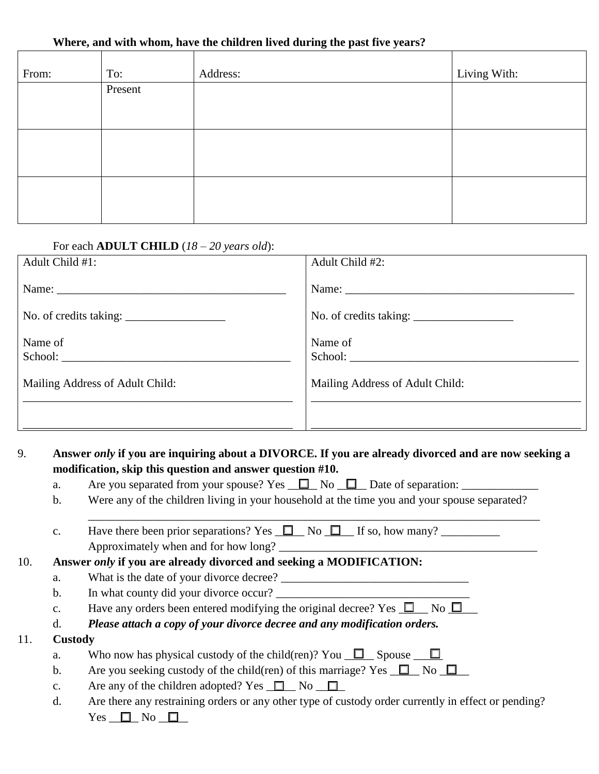#### **Where, and with whom, have the children lived during the past five years?**

| From: | To:     | Address: | Living With: |
|-------|---------|----------|--------------|
|       | Present |          |              |
|       |         |          |              |
|       |         |          |              |
|       |         |          |              |
|       |         |          |              |
|       |         |          |              |

| For each <b>ADULT CHILD</b> $(18 - 20$ years old): |                                 |
|----------------------------------------------------|---------------------------------|
| Adult Child #1:                                    | Adult Child #2:                 |
|                                                    |                                 |
| No. of credits taking: $\frac{1}{2}$               |                                 |
| Name of                                            | Name of                         |
| Mailing Address of Adult Child:                    | Mailing Address of Adult Child: |
|                                                    |                                 |

### 9. **Answer** *only* **if you are inquiring about a DIVORCE. If you are already divorced and are now seeking a modification, skip this question and answer question #10.**

- a. Are you separated from your spouse? Yes  $\Box$  No  $\Box$  Date of separation:
- b. Were any of the children living in your household at the time you and your spouse separated?

\_\_\_\_\_\_\_\_\_\_\_\_\_\_\_\_\_\_\_\_\_\_\_\_\_\_\_\_\_\_\_\_\_\_\_\_\_\_\_\_\_\_\_\_\_\_\_\_\_\_\_\_\_\_\_\_\_\_\_\_\_\_\_\_\_\_\_\_\_\_\_\_\_\_\_\_\_

c. Have there been prior separations? Yes  $\Box$  No  $\Box$  If so, how many? Approximately when and for how long?

### 10. **Answer** *only* **if you are already divorced and seeking a MODIFICATION:**

- a. What is the date of your divorce decree?
- b. In what county did your divorce occur?
- c. Have any orders been entered modifying the original decree? Yes  $\Box$  No  $\Box$
- d. *Please attach a copy of your divorce decree and any modification orders.*

### 11. **Custody**

- a. Who now has physical custody of the child(ren)? You  $\Box$  Spouse  $\Box$
- b. Are you seeking custody of the child(ren) of this marriage? Yes  $\Box$  No  $\Box$
- c. Are any of the children adopted? Yes  $\Box$  No  $\Box$
- d. Are there any restraining orders or any other type of custody order currently in effect or pending? Yes  $\Box$  No  $\Box$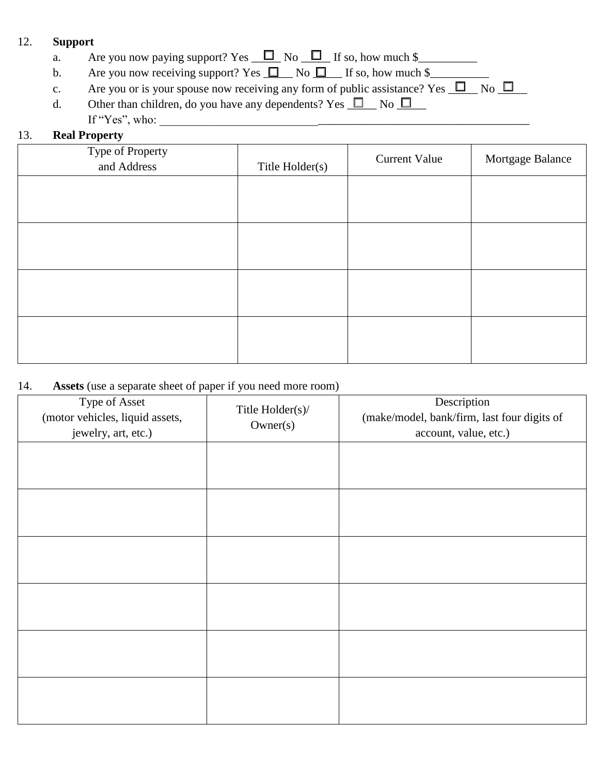### 12. **Support**

- a. Are you now paying support? Yes  $\Box$  No  $\Box$  If so, how much \$
- b. Are you now receiving support? Yes  $\Box$  No  $\Box$  If so, how much \$\_\_\_\_\_\_\_\_\_\_\_\_\_
- c. Are you or is your spouse now receiving any form of public assistance? Yes  $\Box$  No  $\Box$
- d. Other than children, do you have any dependents? Yes  $\Box$  No  $\Box$ If "Yes", who:

# 13. **Real Property**

| Type of Property<br>and Address | Title Holder(s) | <b>Current Value</b> | Mortgage Balance |
|---------------------------------|-----------------|----------------------|------------------|
|                                 |                 |                      |                  |
|                                 |                 |                      |                  |
|                                 |                 |                      |                  |
|                                 |                 |                      |                  |
|                                 |                 |                      |                  |
|                                 |                 |                      |                  |

### 14. **Assets** (use a separate sheet of paper if you need more room)

| Type of Asset<br>(motor vehicles, liquid assets,<br>jewelry, art, etc.) | Title Holder(s)/<br>Owner(s) | Description<br>(make/model, bank/firm, last four digits of<br>account, value, etc.) |
|-------------------------------------------------------------------------|------------------------------|-------------------------------------------------------------------------------------|
|                                                                         |                              |                                                                                     |
|                                                                         |                              |                                                                                     |
|                                                                         |                              |                                                                                     |
|                                                                         |                              |                                                                                     |
|                                                                         |                              |                                                                                     |
|                                                                         |                              |                                                                                     |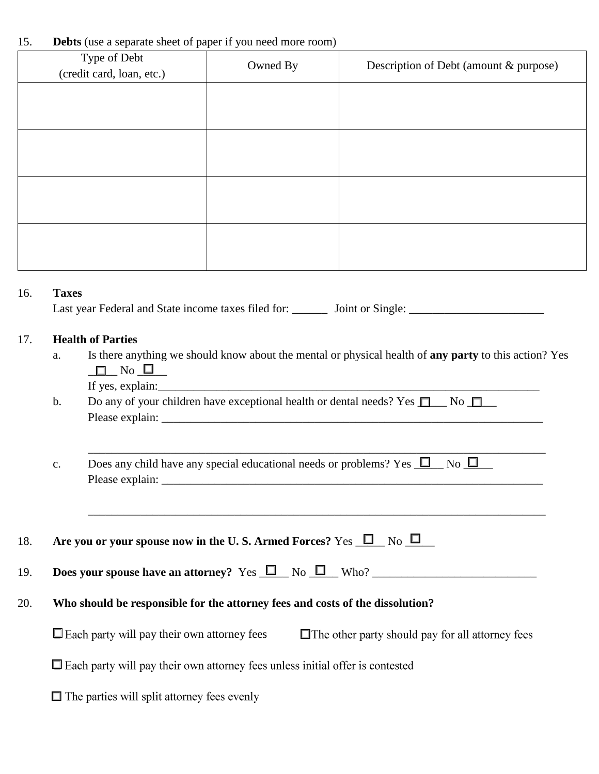### 15. **Debts** (use a separate sheet of paper if you need more room)

|     | Type of Debt<br>(credit card, loan, etc.) | Owned By | Description of Debt (amount & purpose)                                                                         |
|-----|-------------------------------------------|----------|----------------------------------------------------------------------------------------------------------------|
|     |                                           |          |                                                                                                                |
|     |                                           |          |                                                                                                                |
|     |                                           |          |                                                                                                                |
|     |                                           |          |                                                                                                                |
|     |                                           |          |                                                                                                                |
|     |                                           |          |                                                                                                                |
|     |                                           |          |                                                                                                                |
|     |                                           |          |                                                                                                                |
| 16. | <b>Taxes</b>                              |          |                                                                                                                |
|     |                                           |          | Last year Federal and State income taxes filed for: ________ Joint or Single: ________________________________ |
|     |                                           |          |                                                                                                                |
| 17. | <b>Health of Parties</b>                  |          |                                                                                                                |
|     | a.<br>$\_$ No $\_$<br>$\Box$              |          | Is there anything we should know about the mental or physical health of any party to this action? Yes          |
|     | If yes, explain:                          |          |                                                                                                                |

b. Do any of your children have exceptional health or dental needs? Yes  $\Box$  No  $\Box$ Please explain:

c. Does any child have any special educational needs or problems? Yes  $\Box$  No  $\Box$ Please explain:

\_\_\_\_\_\_\_\_\_\_\_\_\_\_\_\_\_\_\_\_\_\_\_\_\_\_\_\_\_\_\_\_\_\_\_\_\_\_\_\_\_\_\_\_\_\_\_\_\_\_\_\_\_\_\_\_\_\_\_\_\_\_\_\_\_\_\_\_\_\_\_\_\_\_\_\_\_\_

\_\_\_\_\_\_\_\_\_\_\_\_\_\_\_\_\_\_\_\_\_\_\_\_\_\_\_\_\_\_\_\_\_\_\_\_\_\_\_\_\_\_\_\_\_\_\_\_\_\_\_\_\_\_\_\_\_\_\_\_\_\_\_\_\_\_\_\_\_\_\_\_\_\_\_\_\_\_

|  | <b>EXECUTE:</b> Are you or your spouse now in the U.S. Armed Forces? Yes $\Box$ No $\Box$ |  |  |  |  |
|--|-------------------------------------------------------------------------------------------|--|--|--|--|
|--|-------------------------------------------------------------------------------------------|--|--|--|--|

| 19. | <b>Does your spouse have an attorney?</b> Yes $\Box$ No $\Box$ No |  |  |  |  |  |  |
|-----|-------------------------------------------------------------------|--|--|--|--|--|--|
|-----|-------------------------------------------------------------------|--|--|--|--|--|--|

### 20. **Who should be responsible for the attorney fees and costs of the dissolution?**

 $\Box$  Each party will pay their own attorney fees  $\Box$  The other party should pay for all attorney fees

□ Each party will pay their own attorney fees unless initial offer is contested

| $\Box$ The parties will split attorney fees evenly |  |  |  |  |  |  |  |
|----------------------------------------------------|--|--|--|--|--|--|--|
|----------------------------------------------------|--|--|--|--|--|--|--|